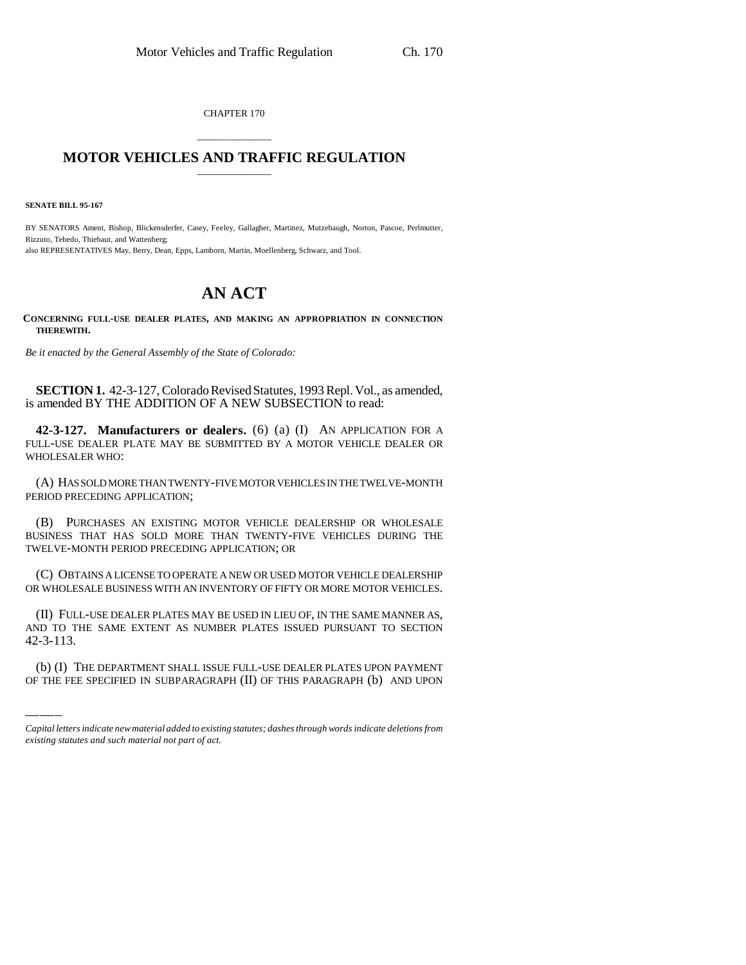CHAPTER 170

## \_\_\_\_\_\_\_\_\_\_\_\_\_\_\_ **MOTOR VEHICLES AND TRAFFIC REGULATION** \_\_\_\_\_\_\_\_\_\_\_\_\_\_\_

**SENATE BILL 95-167**

BY SENATORS Ament, Bishop, Blickensderfer, Casey, Feeley, Gallagher, Martinez, Mutzebaugh, Norton, Pascoe, Perlmutter, Rizzuto, Tebedo, Thiebaut, and Wattenberg; also REPRESENTATIVES May, Berry, Dean, Epps, Lamborn, Martin, Moellenberg, Schwarz, and Tool.

## **AN ACT**

**CONCERNING FULL-USE DEALER PLATES, AND MAKING AN APPROPRIATION IN CONNECTION THEREWITH.**

*Be it enacted by the General Assembly of the State of Colorado:*

**SECTION 1.** 42-3-127, Colorado Revised Statutes, 1993 Repl. Vol., as amended, is amended BY THE ADDITION OF A NEW SUBSECTION to read:

**42-3-127. Manufacturers or dealers.** (6) (a) (I) AN APPLICATION FOR A FULL-USE DEALER PLATE MAY BE SUBMITTED BY A MOTOR VEHICLE DEALER OR WHOLESALER WHO:

(A) HAS SOLD MORE THAN TWENTY-FIVE MOTOR VEHICLES IN THE TWELVE-MONTH PERIOD PRECEDING APPLICATION;

(B) PURCHASES AN EXISTING MOTOR VEHICLE DEALERSHIP OR WHOLESALE BUSINESS THAT HAS SOLD MORE THAN TWENTY-FIVE VEHICLES DURING THE TWELVE-MONTH PERIOD PRECEDING APPLICATION; OR

(C) OBTAINS A LICENSE TO OPERATE A NEW OR USED MOTOR VEHICLE DEALERSHIP OR WHOLESALE BUSINESS WITH AN INVENTORY OF FIFTY OR MORE MOTOR VEHICLES.

AND TO THE SAME EXTENT AS NUMBER PLATES ISSUED PURSUANT TO SECTION (II) FULL-USE DEALER PLATES MAY BE USED IN LIEU OF, IN THE SAME MANNER AS, 42-3-113.

(b) (I) THE DEPARTMENT SHALL ISSUE FULL-USE DEALER PLATES UPON PAYMENT OF THE FEE SPECIFIED IN SUBPARAGRAPH (II) OF THIS PARAGRAPH (b) AND UPON

*Capital letters indicate new material added to existing statutes; dashes through words indicate deletions from existing statutes and such material not part of act.*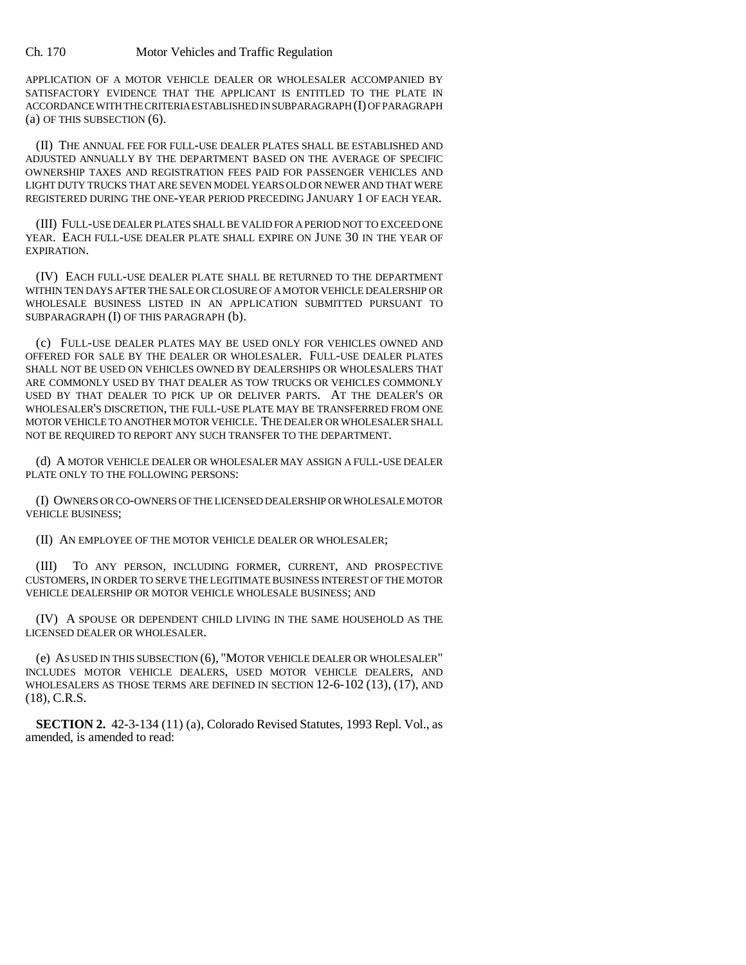APPLICATION OF A MOTOR VEHICLE DEALER OR WHOLESALER ACCOMPANIED BY SATISFACTORY EVIDENCE THAT THE APPLICANT IS ENTITLED TO THE PLATE IN ACCORDANCE WITH THE CRITERIA ESTABLISHED IN SUBPARAGRAPH (I) OF PARAGRAPH (a) OF THIS SUBSECTION (6).

(II) THE ANNUAL FEE FOR FULL-USE DEALER PLATES SHALL BE ESTABLISHED AND ADJUSTED ANNUALLY BY THE DEPARTMENT BASED ON THE AVERAGE OF SPECIFIC OWNERSHIP TAXES AND REGISTRATION FEES PAID FOR PASSENGER VEHICLES AND LIGHT DUTY TRUCKS THAT ARE SEVEN MODEL YEARS OLD OR NEWER AND THAT WERE REGISTERED DURING THE ONE-YEAR PERIOD PRECEDING JANUARY 1 OF EACH YEAR.

(III) FULL-USE DEALER PLATES SHALL BE VALID FOR A PERIOD NOT TO EXCEED ONE YEAR. EACH FULL-USE DEALER PLATE SHALL EXPIRE ON JUNE 30 IN THE YEAR OF EXPIRATION.

(IV) EACH FULL-USE DEALER PLATE SHALL BE RETURNED TO THE DEPARTMENT WITHIN TEN DAYS AFTER THE SALE OR CLOSURE OF A MOTOR VEHICLE DEALERSHIP OR WHOLESALE BUSINESS LISTED IN AN APPLICATION SUBMITTED PURSUANT TO SUBPARAGRAPH (I) OF THIS PARAGRAPH (b).

(c) FULL-USE DEALER PLATES MAY BE USED ONLY FOR VEHICLES OWNED AND OFFERED FOR SALE BY THE DEALER OR WHOLESALER. FULL-USE DEALER PLATES SHALL NOT BE USED ON VEHICLES OWNED BY DEALERSHIPS OR WHOLESALERS THAT ARE COMMONLY USED BY THAT DEALER AS TOW TRUCKS OR VEHICLES COMMONLY USED BY THAT DEALER TO PICK UP OR DELIVER PARTS. AT THE DEALER'S OR WHOLESALER'S DISCRETION, THE FULL-USE PLATE MAY BE TRANSFERRED FROM ONE MOTOR VEHICLE TO ANOTHER MOTOR VEHICLE. THE DEALER OR WHOLESALER SHALL NOT BE REQUIRED TO REPORT ANY SUCH TRANSFER TO THE DEPARTMENT.

(d) A MOTOR VEHICLE DEALER OR WHOLESALER MAY ASSIGN A FULL-USE DEALER PLATE ONLY TO THE FOLLOWING PERSONS:

(I) OWNERS OR CO-OWNERS OF THE LICENSED DEALERSHIP OR WHOLESALE MOTOR VEHICLE BUSINESS;

(II) AN EMPLOYEE OF THE MOTOR VEHICLE DEALER OR WHOLESALER;

(III) TO ANY PERSON, INCLUDING FORMER, CURRENT, AND PROSPECTIVE CUSTOMERS, IN ORDER TO SERVE THE LEGITIMATE BUSINESS INTEREST OF THE MOTOR VEHICLE DEALERSHIP OR MOTOR VEHICLE WHOLESALE BUSINESS; AND

(IV) A SPOUSE OR DEPENDENT CHILD LIVING IN THE SAME HOUSEHOLD AS THE LICENSED DEALER OR WHOLESALER.

(e) AS USED IN THIS SUBSECTION (6), "MOTOR VEHICLE DEALER OR WHOLESALER" INCLUDES MOTOR VEHICLE DEALERS, USED MOTOR VEHICLE DEALERS, AND WHOLESALERS AS THOSE TERMS ARE DEFINED IN SECTION 12-6-102 (13), (17), AND (18), C.R.S.

**SECTION 2.** 42-3-134 (11) (a), Colorado Revised Statutes, 1993 Repl. Vol., as amended, is amended to read: